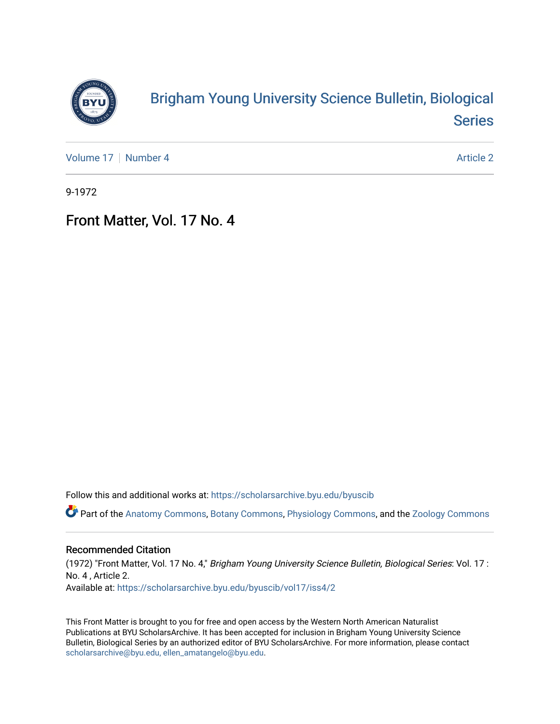

## [Brigham Young University Science Bulletin, Biological](https://scholarsarchive.byu.edu/byuscib)  [Series](https://scholarsarchive.byu.edu/byuscib)

[Volume 17](https://scholarsarchive.byu.edu/byuscib/vol17) | [Number 4](https://scholarsarchive.byu.edu/byuscib/vol17/iss4) Article 2

9-1972

## Front Matter, Vol. 17 No. 4

Follow this and additional works at: [https://scholarsarchive.byu.edu/byuscib](https://scholarsarchive.byu.edu/byuscib?utm_source=scholarsarchive.byu.edu%2Fbyuscib%2Fvol17%2Fiss4%2F2&utm_medium=PDF&utm_campaign=PDFCoverPages)

Part of the [Anatomy Commons,](http://network.bepress.com/hgg/discipline/903?utm_source=scholarsarchive.byu.edu%2Fbyuscib%2Fvol17%2Fiss4%2F2&utm_medium=PDF&utm_campaign=PDFCoverPages) [Botany Commons,](http://network.bepress.com/hgg/discipline/104?utm_source=scholarsarchive.byu.edu%2Fbyuscib%2Fvol17%2Fiss4%2F2&utm_medium=PDF&utm_campaign=PDFCoverPages) [Physiology Commons,](http://network.bepress.com/hgg/discipline/69?utm_source=scholarsarchive.byu.edu%2Fbyuscib%2Fvol17%2Fiss4%2F2&utm_medium=PDF&utm_campaign=PDFCoverPages) and the [Zoology Commons](http://network.bepress.com/hgg/discipline/81?utm_source=scholarsarchive.byu.edu%2Fbyuscib%2Fvol17%2Fiss4%2F2&utm_medium=PDF&utm_campaign=PDFCoverPages)

### Recommended Citation

(1972) "Front Matter, Vol. 17 No. 4," Brigham Young University Science Bulletin, Biological Series: Vol. 17 : No. 4 , Article 2. Available at: [https://scholarsarchive.byu.edu/byuscib/vol17/iss4/2](https://scholarsarchive.byu.edu/byuscib/vol17/iss4/2?utm_source=scholarsarchive.byu.edu%2Fbyuscib%2Fvol17%2Fiss4%2F2&utm_medium=PDF&utm_campaign=PDFCoverPages) 

This Front Matter is brought to you for free and open access by the Western North American Naturalist Publications at BYU ScholarsArchive. It has been accepted for inclusion in Brigham Young University Science Bulletin, Biological Series by an authorized editor of BYU ScholarsArchive. For more information, please contact [scholarsarchive@byu.edu, ellen\\_amatangelo@byu.edu](mailto:scholarsarchive@byu.edu,%20ellen_amatangelo@byu.edu).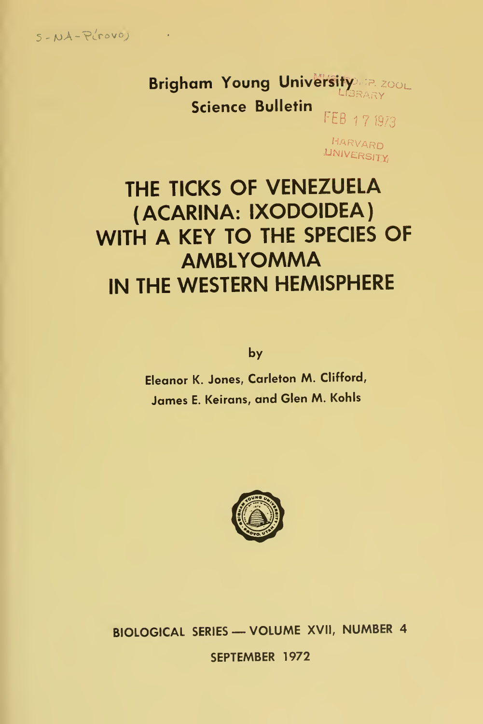$5 - NA - P(rowo)$ 

 $\sim 10^{11}$  km  $^{-1}$ 

Brigham Young University REPORT **Science Bulletin** FEB 17 1973

> HARVARD **UNIVERSITY**

# THE TICKS OF VENEZUELA (ACARINA: IXODOIDEA) WITH A KEY TO THE SPECIES OF **AMBLYOMMA** IN THE WESTERN HEMISPHERE

by

Eleanor K. Jones, Carleton M. Clifford, James E. Keirans, and Glen M. Kohls



BIOLOGICAL SERIES - VOLUME XVII, NUMBER 4 SEPTEMBER 1972